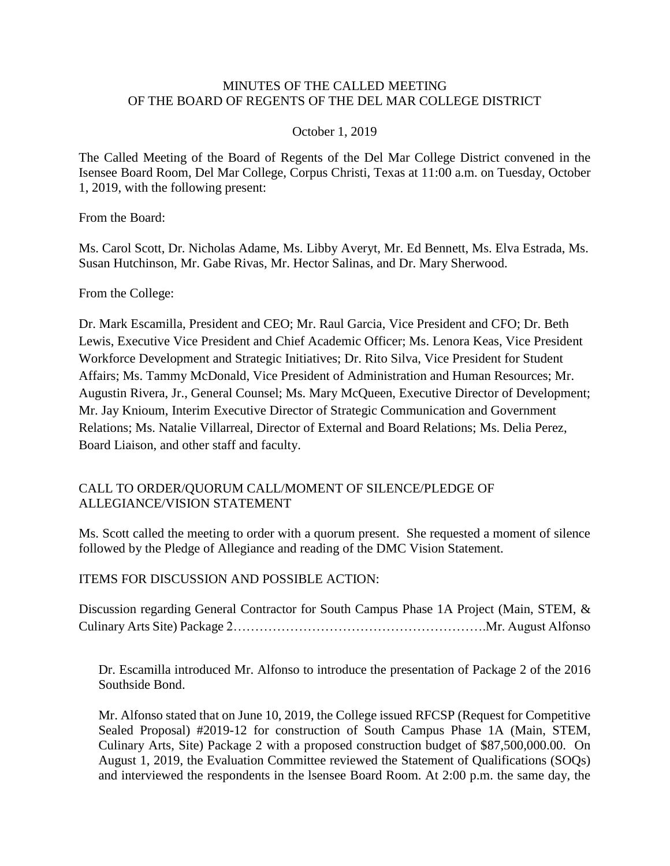### MINUTES OF THE CALLED MEETING OF THE BOARD OF REGENTS OF THE DEL MAR COLLEGE DISTRICT

#### October 1, 2019

The Called Meeting of the Board of Regents of the Del Mar College District convened in the Isensee Board Room, Del Mar College, Corpus Christi, Texas at 11:00 a.m. on Tuesday, October 1, 2019, with the following present:

From the Board:

Ms. Carol Scott, Dr. Nicholas Adame, Ms. Libby Averyt, Mr. Ed Bennett, Ms. Elva Estrada, Ms. Susan Hutchinson, Mr. Gabe Rivas, Mr. Hector Salinas, and Dr. Mary Sherwood.

From the College:

Dr. Mark Escamilla, President and CEO; Mr. Raul Garcia, Vice President and CFO; Dr. Beth Lewis, Executive Vice President and Chief Academic Officer; Ms. Lenora Keas, Vice President Workforce Development and Strategic Initiatives; Dr. Rito Silva, Vice President for Student Affairs; Ms. Tammy McDonald, Vice President of Administration and Human Resources; Mr. Augustin Rivera, Jr., General Counsel; Ms. Mary McQueen, Executive Director of Development; Mr. Jay Knioum, Interim Executive Director of Strategic Communication and Government Relations; Ms. Natalie Villarreal, Director of External and Board Relations; Ms. Delia Perez, Board Liaison, and other staff and faculty.

#### CALL TO ORDER/QUORUM CALL/MOMENT OF SILENCE/PLEDGE OF ALLEGIANCE/VISION STATEMENT

 Ms. Scott called the meeting to order with a quorum present. She requested a moment of silence followed by the Pledge of Allegiance and reading of the DMC Vision Statement.

ITEMS FOR DISCUSSION AND POSSIBLE ACTION:

 Discussion regarding General Contractor for South Campus Phase 1A Project (Main, STEM, & Culinary Arts Site) Package [2………………………………………………….Mr.](https://2�������������������.Mr) August Alfonso

 Dr. Escamilla introduced Mr. Alfonso to introduce the presentation of Package 2 of the 2016 Southside Bond.

 Mr. Alfonso stated that on June 10, 2019, the College issued RFCSP (Request for Competitive Sealed Proposal) #2019-12 for construction of South Campus Phase 1A (Main, STEM, Culinary Arts, Site) Package 2 with a proposed construction budget of \$[87,500,000.00.](https://87,500,000.00) On and interviewed the respondents in the lsensee Board Room. At 2:00 p.m. the same day, the August 1, 2019, the Evaluation Committee reviewed the Statement of Qualifications (SOQs)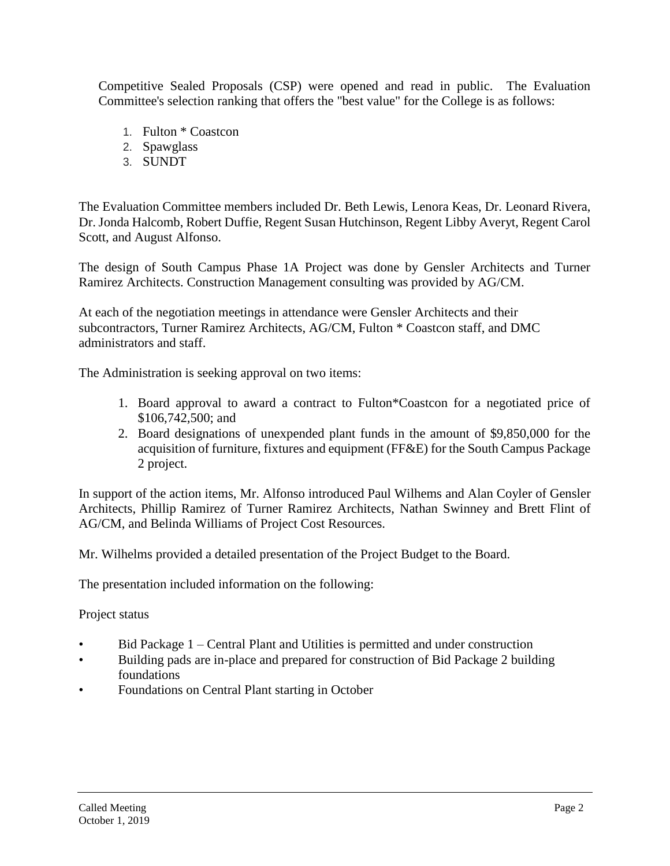Competitive Sealed Proposals (CSP) were opened and read in public. The Evaluation Committee's selection ranking that offers the "best value" for the College is as follows:

- 1. Fulton \* Coastcon
- 2. Spawglass
- 3. SUNDT

The Evaluation Committee members included Dr. Beth Lewis, Lenora Keas, Dr. Leonard Rivera, Dr. Jonda Halcomb, Robert Duffie, Regent Susan Hutchinson, Regent Libby Averyt, Regent Carol Scott, and August Alfonso.

 The design of South Campus Phase 1A Project was done by Gensler Architects and Turner Ramirez Architects. Construction Management consulting was provided by AG/CM.

 At each of the negotiation meetings in attendance were Gensler Architects and their subcontractors, Turner Ramirez Architects, AG/CM, Fulton \* Coastcon staff, and DMC administrators and staff.

The Administration is seeking approval on two items:

- 1. Board approval to award a contract to Fulton\*Coastcon for a negotiated price of \$106,742,500; and
- 2. Board designations of unexpended plant funds in the amount of \$9,850,000 for the acquisition of furniture, fixtures and equipment (FF&E) for the South Campus Package 2 project.

 Architects, Phillip Ramirez of Turner Ramirez Architects, Nathan Swinney and Brett Flint of In support of the action items, Mr. Alfonso introduced Paul Wilhems and Alan Coyler of Gensler AG/CM, and Belinda Williams of Project Cost Resources.

Mr. Wilhelms provided a detailed presentation of the Project Budget to the Board.

The presentation included information on the following:

Project status

- Bid Package 1 Central Plant and Utilities is permitted and under construction
- Building pads are in-place and prepared for construction of Bid Package 2 building foundations
- Foundations on Central Plant starting in October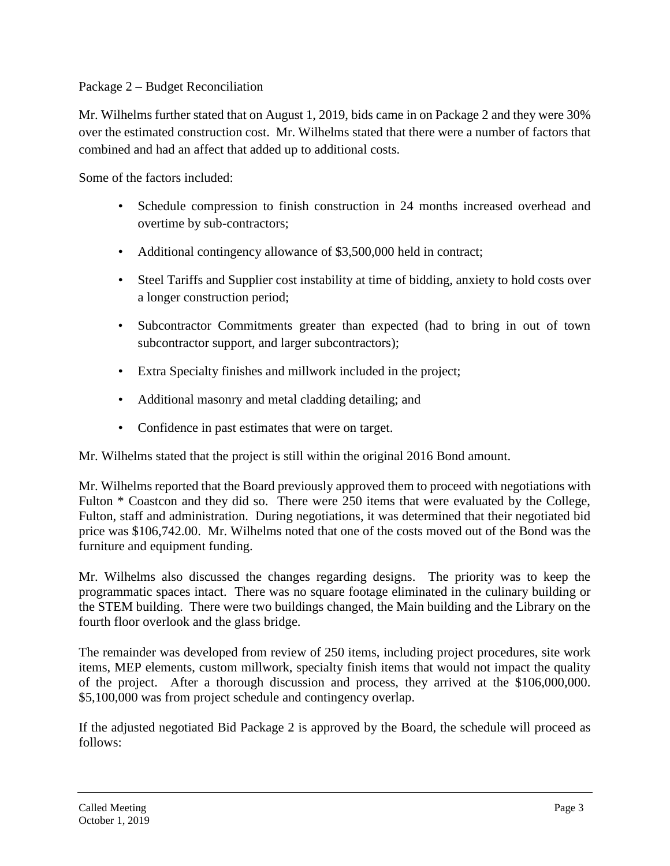## Package 2 – Budget Reconciliation

 Mr. Wilhelms further stated that on August 1, 2019, bids came in on Package 2 and they were 30% over the estimated construction cost. Mr. Wilhelms stated that there were a number of factors that combined and had an affect that added up to additional costs.

Some of the factors included:

- Schedule compression to finish construction in 24 months increased overhead and overtime by sub-contractors;
- Additional contingency allowance of \$3,500,000 held in contract;
- • Steel Tariffs and Supplier cost instability at time of bidding, anxiety to hold costs over a longer construction period;
- Subcontractor Commitments greater than expected (had to bring in out of town subcontractor support, and larger subcontractors);
- Extra Specialty finishes and millwork included in the project;
- Additional masonry and metal cladding detailing; and
- Confidence in past estimates that were on target.

Mr. Wilhelms stated that the project is still within the original 2016 Bond amount.

Fulton \* Coastcon and they did so. There were 250 items that were evaluated by the College, Fulton, staff and administration. During negotiations, it was determined that their negotiated bid price was \$[106,742.00.](https://106,742.00) Mr. Wilhelms noted that one of the costs moved out of the Bond was the Mr. Wilhelms reported that the Board previously approved them to proceed with negotiations with furniture and equipment funding.

 Mr. Wilhelms also discussed the changes regarding designs. The priority was to keep the programmatic spaces intact. There was no square footage eliminated in the culinary building or the STEM building. There were two buildings changed, the Main building and the Library on the fourth floor overlook and the glass bridge.

 The remainder was developed from review of 250 items, including project procedures, site work of the project. After a thorough discussion and process, they arrived at the \$106,000,000. items, MEP elements, custom millwork, specialty finish items that would not impact the quality \$5,100,000 was from project schedule and contingency overlap.

If the adjusted negotiated Bid Package 2 is approved by the Board, the schedule will proceed as follows: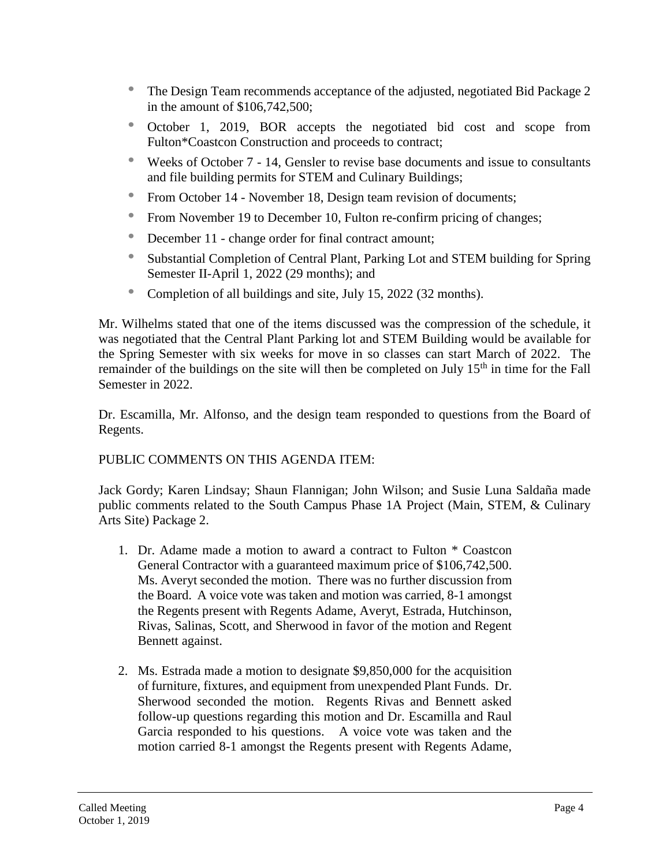- • The Design Team recommends acceptance of the adjusted, negotiated Bid Package 2 in the amount of \$106,742,500;
- • October 1, 2019, BOR accepts the negotiated bid cost and scope from Fulton\*Coastcon Construction and proceeds to contract;
- • Weeks of October 7 14, Gensler to revise base documents and issue to consultants and file building permits for STEM and Culinary Buildings;
- From October 14 November 18, Design team revision of documents;
- From November 19 to December 10, Fulton re-confirm pricing of changes;
- December 11 change order for final contract amount;
- Substantial Completion of Central Plant, Parking Lot and STEM building for Spring Semester II-April 1, 2022 (29 months); and
- Completion of all buildings and site, July 15, 2022 (32 months).

 was negotiated that the Central Plant Parking lot and STEM Building would be available for the Spring Semester with six weeks for move in so classes can start March of 2022. The remainder of the buildings on the site will then be completed on July 15<sup>th</sup> in time for the Fall Mr. Wilhelms stated that one of the items discussed was the compression of the schedule, it Semester in 2022.

Dr. Escamilla, Mr. Alfonso, and the design team responded to questions from the Board of Regents.

# PUBLIC COMMENTS ON THIS AGENDA ITEM:

 Jack Gordy; Karen Lindsay; Shaun Flannigan; John Wilson; and Susie Luna Saldaña made public comments related to the South Campus Phase 1A Project (Main, STEM, & Culinary Arts Site) Package 2.

- 1. Dr. Adame made a motion to award a contract to Fulton \* Coastcon Ms. Averyt seconded the motion. There was no further discussion from the Board. A voice vote was taken and motion was carried, 8-1 amongst General Contractor with a guaranteed maximum price of \$106,742,500. the Regents present with Regents Adame, Averyt, Estrada, Hutchinson, Rivas, Salinas, Scott, and Sherwood in favor of the motion and Regent Bennett against.
- 2. Ms. Estrada made a motion to designate \$9,850,000 for the acquisition Sherwood seconded the motion. Regents Rivas and Bennett asked follow-up questions regarding this motion and Dr. Escamilla and Raul Garcia responded to his questions. A voice vote was taken and the of furniture, fixtures, and equipment from unexpended Plant Funds. Dr. motion carried 8-1 amongst the Regents present with Regents Adame,